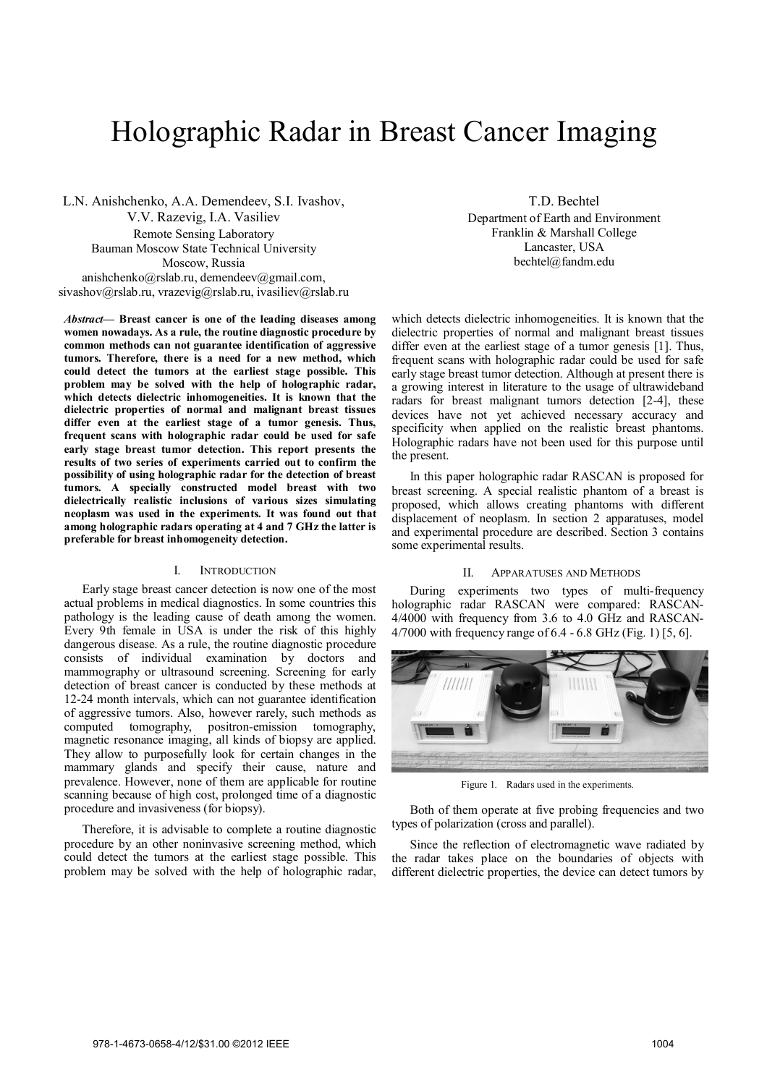# Holographic Radar in Breast Cancer Imaging

L.N. Anishchenko, A.A. Demendeev, S.I. Ivashov, V.V. Razevig, I.A. Vasiliev Remote Sensing Laboratory Bauman Moscow State Technical University Moscow, Russia anishchenko@rslab.ru, demendeev@gmail.com, sivashov@rslab.ru, vrazevig@rslab.ru, ivasiliev@rslab.ru

*Abstract***— Breast cancer is one of the leading diseases among women nowadays. As a rule, the routine diagnostic procedure by common methods can not guarantee identification of aggressive tumors. Therefore, there is a need for a new method, which could detect the tumors at the earliest stage possible. This problem may be solved with the help of holographic radar, which detects dielectric inhomogeneities. It is known that the dielectric properties of normal and malignant breast tissues differ even at the earliest stage of a tumor genesis. Thus, frequent scans with holographic radar could be used for safe early stage breast tumor detection. This report presents the results of two series of experiments carried out to confirm the possibility of using holographic radar for the detection of breast tumors. A specially constructed model breast with two dielectrically realistic inclusions of various sizes simulating neoplasm was used in the experiments. It was found out that among holographic radars operating at 4 and 7 GHz the latter is preferable for breast inhomogeneity detection.**

## I. INTRODUCTION

Early stage breast cancer detection is now one of the most actual problems in medical diagnostics. In some countries this pathology is the leading cause of death among the women. Every 9th female in USA is under the risk of this highly dangerous disease. As a rule, the routine diagnostic procedure consists of individual examination by doctors and mammography or ultrasound screening. Screening for early detection of breast cancer is conducted by these methods at 12-24 month intervals, which can not guarantee identification of aggressive tumors. Also, however rarely, such methods as computed tomography, positron-emission tomography, magnetic resonance imaging, all kinds of biopsy are applied. They allow to purposefully look for certain changes in the mammary glands and specify their cause, nature and prevalence. However, none of them are applicable for routine scanning because of high cost, prolonged time of a diagnostic procedure and invasiveness (for biopsy).

Therefore, it is advisable to complete a routine diagnostic procedure by an other noninvasive screening method, which could detect the tumors at the earliest stage possible. This problem may be solved with the help of holographic radar,

T.D. Bechtel Department of Earth and Environment Franklin & Marshall College Lancaster, USA bechtel@fandm.edu

which detects dielectric inhomogeneities. It is known that the dielectric properties of normal and malignant breast tissues differ even at the earliest stage of a tumor genesis [1]. Thus, frequent scans with holographic radar could be used for safe early stage breast tumor detection. Although at present there is a growing interest in literature to the usage of ultrawideband radars for breast malignant tumors detection [2-4], these devices have not yet achieved necessary accuracy and specificity when applied on the realistic breast phantoms. Holographic radars have not been used for this purpose until the present.

In this paper holographic radar RASCAN is proposed for breast screening. A special realistic phantom of a breast is proposed, which allows creating phantoms with different displacement of neoplasm. In section 2 apparatuses, model and experimental procedure are described. Section 3 contains some experimental results.

# II. APPARATUSES AND METHODS

During experiments two types of multi-frequency holographic radar RASCAN were compared: RASCAN-4/4000 with frequency from 3.6 to 4.0 GHz and RASCAN-4/7000 with frequency range of 6.4 - 6.8 GHz (Fig. 1) [5, 6].



Figure 1. Radars used in the experiments.

Both of them operate at five probing frequencies and two types of polarization (cross and parallel).

Since the reflection of electromagnetic wave radiated by the radar takes place on the boundaries of objects with different dielectric properties, the device can detect tumors by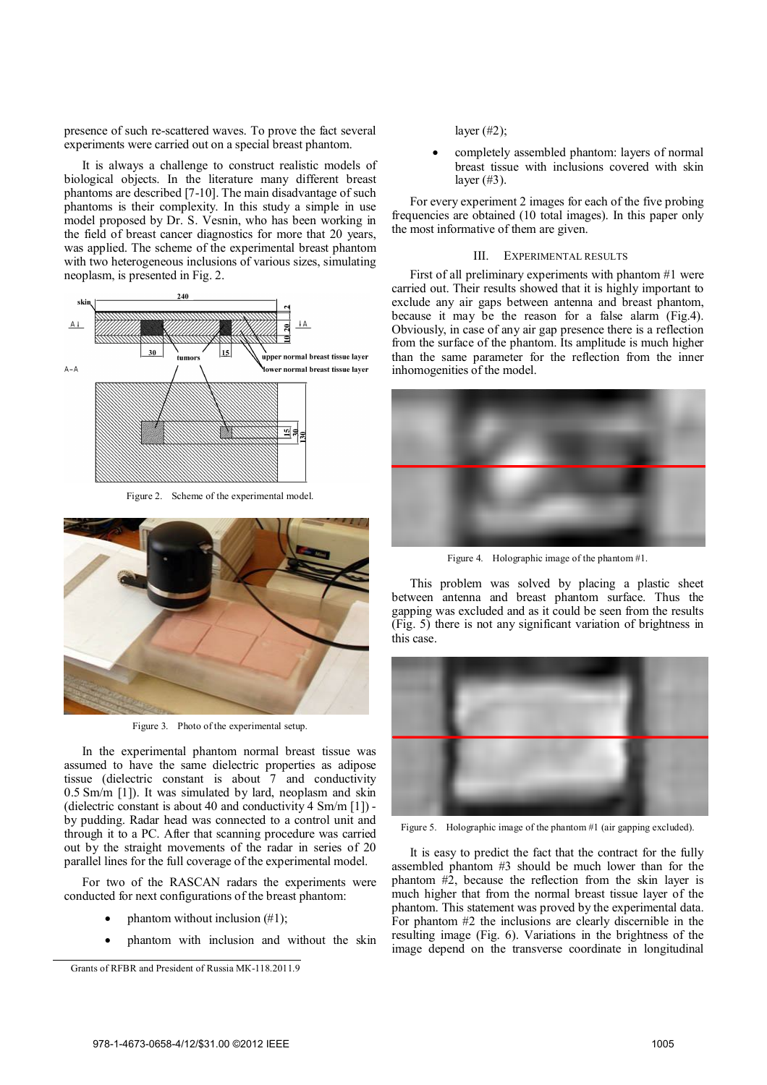presence of such re-scattered waves. To prove the fact several experiments were carried out on a special breast phantom.

It is always a challenge to construct realistic models of biological objects. In the literature many different breast phantoms are described [7-10]. The main disadvantage of such phantoms is their complexity. In this study a simple in use model proposed by Dr. S. Vesnin, who has been working in the field of breast cancer diagnostics for more that 20 years, was applied. The scheme of the experimental breast phantom with two heterogeneous inclusions of various sizes, simulating neoplasm, is presented in Fig. 2.



Figure 2. Scheme of the experimental model.



Figure 3. Photo of the experimental setup.

In the experimental phantom normal breast tissue was assumed to have the same dielectric properties as adipose tissue (dielectric constant is about 7 and conductivity 0.5 Sm/m [1]). It was simulated by lard, neoplasm and skin (dielectric constant is about 40 and conductivity 4 Sm/m [1]) by pudding. Radar head was connected to a control unit and through it to a PC. After that scanning procedure was carried out by the straight movements of the radar in series of 20 parallel lines for the full coverage of the experimental model.

For two of the RASCAN radars the experiments were conducted for next configurations of the breast phantom:

- phantom without inclusion (#1);
- phantom with inclusion and without the skin

layer (#2);

 completely assembled phantom: layers of normal breast tissue with inclusions covered with skin layer  $(\#3)$ .

For every experiment 2 images for each of the five probing frequencies are obtained (10 total images). In this paper only the most informative of them are given.

#### III. EXPERIMENTAL RESULTS

First of all preliminary experiments with phantom #1 were carried out. Their results showed that it is highly important to exclude any air gaps between antenna and breast phantom, because it may be the reason for a false alarm (Fig.4). Obviously, in case of any air gap presence there is a reflection from the surface of the phantom. Its amplitude is much higher than the same parameter for the reflection from the inner inhomogenities of the model.



Figure 4. Holographic image of the phantom #1.

This problem was solved by placing a plastic sheet between antenna and breast phantom surface. Thus the gapping was excluded and as it could be seen from the results (Fig. 5) there is not any significant variation of brightness in this case.



Figure 5. Holographic image of the phantom #1 (air gapping excluded).

It is easy to predict the fact that the contract for the fully assembled phantom #3 should be much lower than for the phantom  $\#2$ , because the reflection from the skin layer is much higher that from the normal breast tissue layer of the phantom. This statement was proved by the experimental data. For phantom #2 the inclusions are clearly discernible in the resulting image (Fig. 6). Variations in the brightness of the image depend on the transverse coordinate in longitudinal

Grants of RFBR and President of Russia МК-118.2011.9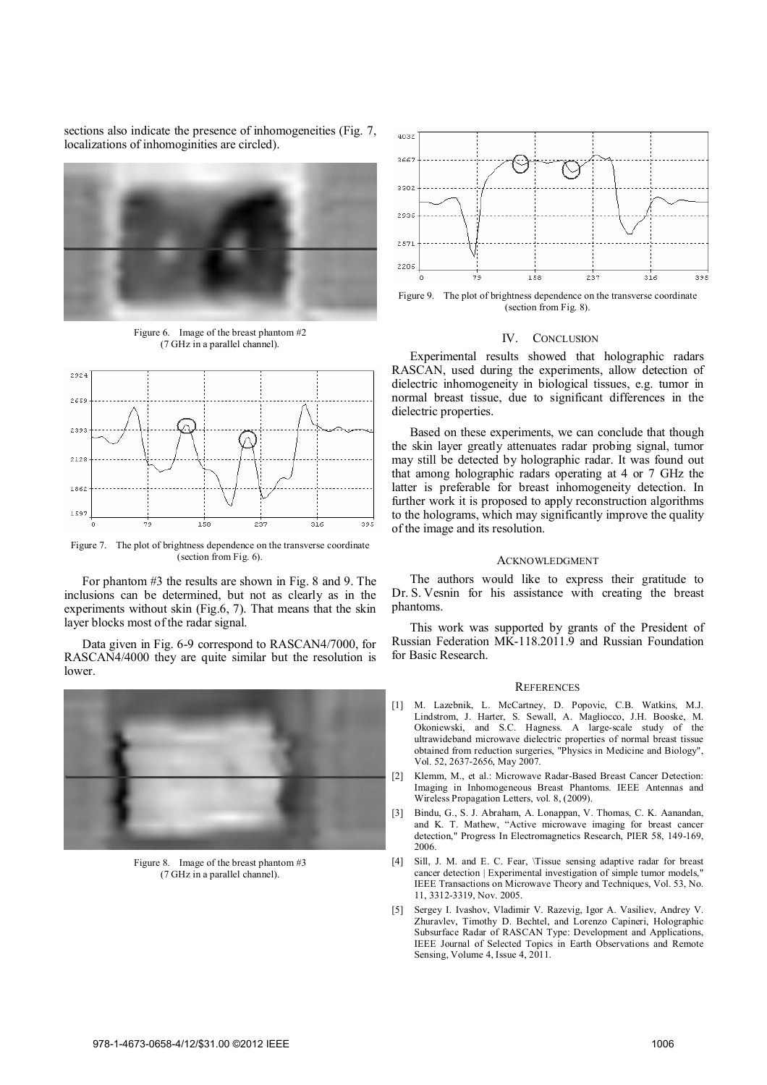sections also indicate the presence of inhomogeneities (Fig. 7, localizations of inhomoginities are circled).



Figure 6. Image of the breast phantom #2 (7 GHz in a parallel channel).



Figure 7. The plot of brightness dependence on the transverse coordinate (section from Fig. 6).

For phantom #3 the results are shown in Fig. 8 and 9. The inclusions can be determined, but not as clearly as in the experiments without skin (Fig.6, 7). That means that the skin layer blocks most of the radar signal.

Data given in Fig. 6-9 correspond to RASCAN4/7000, for RASCAN4/4000 they are quite similar but the resolution is lower.



Figure 8. Image of the breast phantom #3 (7 GHz in a parallel channel).



Figure 9. The plot of brightness dependence on the transverse coordinate (section from Fig. 8).

# IV. CONCLUSION

Experimental results showed that holographic radars RASCAN, used during the experiments, allow detection of dielectric inhomogeneity in biological tissues, e.g. tumor in normal breast tissue, due to significant differences in the dielectric properties.

Based on these experiments, we can conclude that though the skin layer greatly attenuates radar probing signal, tumor may still be detected by holographic radar. It was found out that among holographic radars operating at 4 or 7 GHz the latter is preferable for breast inhomogeneity detection. In further work it is proposed to apply reconstruction algorithms to the holograms, which may significantly improve the quality of the image and its resolution.

## ACKNOWLEDGMENT

The authors would like to express their gratitude to Dr. S. Vesnin for his assistance with creating the breast phantoms.

This work was supported by grants of the President of Russian Federation MK-118.2011.9 and Russian Foundation for Basic Research.

# **REFERENCES**

- [1] M. Lazebnik, L. McCartney, D. Popovic, C.B. Watkins, M.J. Lindstrom, J. Harter, S. Sewall, A. Magliocco, J.H. Booske, M. Okoniewski, and S.C. Hagness. A large-scale study of the ultrawideband microwave dielectric properties of normal breast tissue obtained from reduction surgeries, "Physics in Medicine and Biology", Vol. 52, 2637-2656, May 2007.
- [2] Klemm, M., et al.: Microwave Radar-Based Breast Cancer Detection: Imaging in Inhomogeneous Breast Phantoms. IEEE Antennas and Wireless Propagation Letters, vol. 8, (2009).
- [3] Bindu, G., S. J. Abraham, A. Lonappan, V. Thomas, C. K. Aanandan, and K. T. Mathew, "Active microwave imaging for breast cancer detection," Progress In Electromagnetics Research, PIER 58, 149-169, 2006.
- [4] Sill, J. M. and E. C. Fear, \Tissue sensing adaptive radar for breast cancer detection | Experimental investigation of simple tumor models, ' IEEE Transactions on Microwave Theory and Techniques, Vol. 53, No. 11, 3312-3319, Nov. 2005.
- [5] Sergey I. Ivashov, Vladimir V. Razevig, Igor A. Vasiliev, Andrey V. Zhuravlev, Timothy D. Bechtel, and Lorenzo Capineri, Holographic Subsurface Radar of RASCAN Type: Development and Applications, IEEE Journal of Selected Topics in Earth Observations and Remote Sensing, Volume 4, Issue 4, 2011.